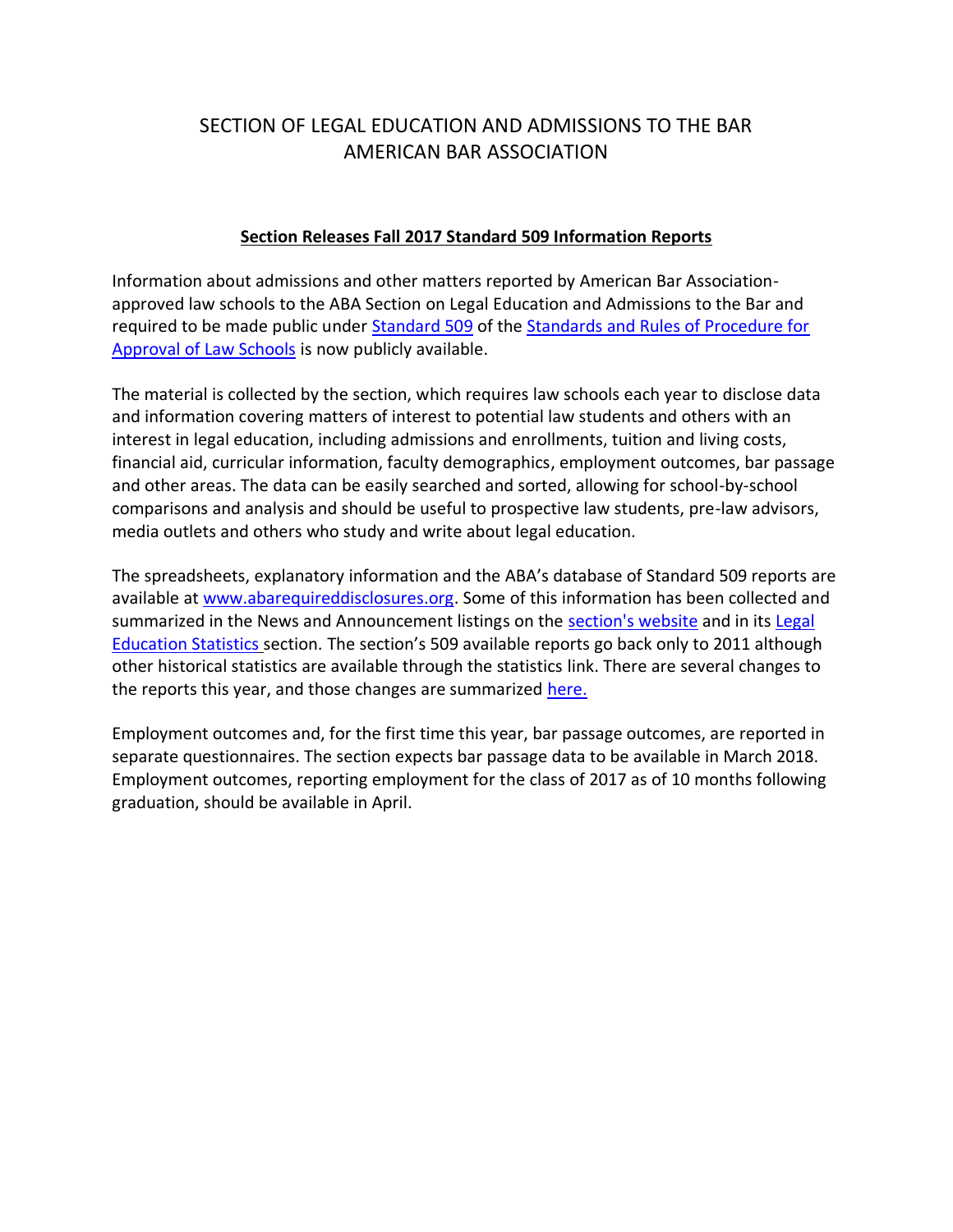## SECTION OF LEGAL EDUCATION AND ADMISSIONS TO THE BAR AMERICAN BAR ASSOCIATION

### **Section Releases Fall 2017 Standard 509 Information Reports**

Information about admissions and other matters reported by American Bar Associationapproved law schools to the ABA Section on Legal Education and Admissions to the Bar and required to be made public under [Standard 509](http://aba.pr-optout.com/Tracking.aspx?Data=HHL%3d8.95A2-%3eLCE580%3c%2f%3b%26SDG%3c90%3a.&RE=MC&RI=4503934&Preview=False&DistributionActionID=227730&Action=Follow+Link) of the [Standards and Rules of Procedure for](http://aba.pr-optout.com/Tracking.aspx?Data=HHL%3d8.95A2-%3eLCE580%3c%2f%3b%26SDG%3c90%3a.&RE=MC&RI=4503934&Preview=False&DistributionActionID=227729&Action=Follow+Link)  [Approval of Law Schools](http://aba.pr-optout.com/Tracking.aspx?Data=HHL%3d8.95A2-%3eLCE580%3c%2f%3b%26SDG%3c90%3a.&RE=MC&RI=4503934&Preview=False&DistributionActionID=227729&Action=Follow+Link) is now publicly available.

The material is collected by the section, which requires law schools each year to disclose data and information covering matters of interest to potential law students and others with an interest in legal education, including admissions and enrollments, tuition and living costs, financial aid, curricular information, faculty demographics, employment outcomes, bar passage and other areas. The data can be easily searched and sorted, allowing for school-by-school comparisons and analysis and should be useful to prospective law students, pre-law advisors, media outlets and others who study and write about legal education.

The spreadsheets, explanatory information and the ABA's database of Standard 509 reports are available at [www.abarequireddisclosures.org.](http://aba.pr-optout.com/Tracking.aspx?Data=HHL%3d8.95A2-%3eLCE580%3c%2f%3b%26SDG%3c90%3a.&RE=MC&RI=4503934&Preview=False&DistributionActionID=227728&Action=Follow+Link) Some of this information has been collected and summarized in the News and Announcement listings on the [section's website](http://aba.pr-optout.com/Tracking.aspx?Data=HHL%3d8.95A2-%3eLCE580%3c%2f%3b%26SDG%3c90%3a.&RE=MC&RI=4503934&Preview=False&DistributionActionID=227727&Action=Follow+Link) and in its [Legal](http://aba.pr-optout.com/Tracking.aspx?Data=HHL%3d8.95A2-%3eLCE580%3c%2f%3b%26SDG%3c90%3a.&RE=MC&RI=4503934&Preview=False&DistributionActionID=227726&Action=Follow+Link)  [Education Statistics](http://aba.pr-optout.com/Tracking.aspx?Data=HHL%3d8.95A2-%3eLCE580%3c%2f%3b%26SDG%3c90%3a.&RE=MC&RI=4503934&Preview=False&DistributionActionID=227726&Action=Follow+Link) section. The section's 509 available reports go back only to 2011 although other historical statistics are available through the statistics link. There are several changes to the reports this year, and those changes are summarized [here.](http://aba.pr-optout.com/Tracking.aspx?Data=HHL%3d8.95A2-%3eLCE580%3c%2f%3b%26SDG%3c90%3a.&RE=MC&RI=4503934&Preview=False&DistributionActionID=227725&Action=Follow+Link)

Employment outcomes and, for the first time this year, bar passage outcomes, are reported in separate questionnaires. The section expects bar passage data to be available in March 2018. Employment outcomes, reporting employment for the class of 2017 as of 10 months following graduation, should be available in April.